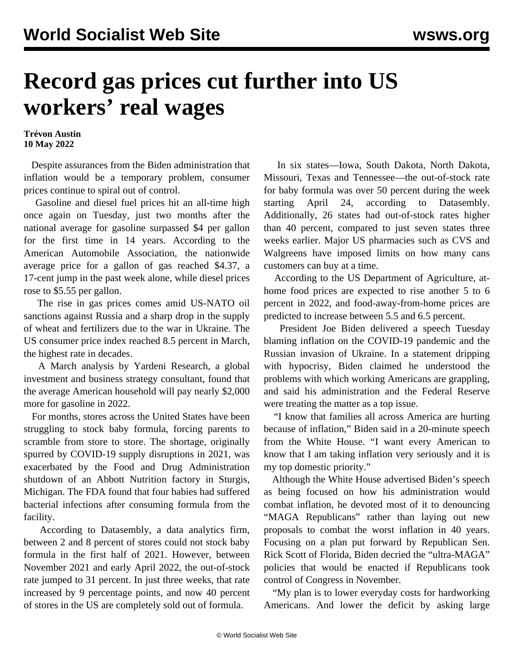## **Record gas prices cut further into US workers' real wages**

**Trévon Austin 10 May 2022**

 Despite assurances from the Biden administration that inflation would be a temporary problem, consumer prices continue to spiral out of control.

 Gasoline and diesel fuel prices hit an all-time high once again on Tuesday, just two months after the national average for gasoline surpassed \$4 per gallon for the first time in 14 years. According to the American Automobile Association, the nationwide average price for a gallon of gas reached \$4.37, a 17-cent jump in the past week alone, while diesel prices rose to \$5.55 per gallon.

 The rise in gas prices comes amid US-NATO oil sanctions against Russia and a sharp drop in the supply of wheat and fertilizers due to the war in Ukraine. The US consumer price index reached 8.5 percent in March, the highest rate in decades.

 A March analysis by Yardeni Research, a global investment and business strategy consultant, found that the average American household will pay nearly \$2,000 more for gasoline in 2022.

 For months, stores across the United States have been struggling to stock baby formula, forcing parents to scramble from store to store. The shortage, originally spurred by COVID-19 supply disruptions in 2021, was exacerbated by the Food and Drug Administration shutdown of an Abbott Nutrition factory in Sturgis, Michigan. The FDA found that four babies had suffered bacterial infections after consuming formula from the facility.

 According to Datasembly, a data analytics firm, between 2 and 8 percent of stores could not stock baby formula in the first half of 2021. However, between November 2021 and early April 2022, the out-of-stock rate jumped to 31 percent. In just three weeks, that rate increased by 9 percentage points, and now 40 percent of stores in the US are completely sold out of formula.

 In six states—Iowa, South Dakota, North Dakota, Missouri, Texas and Tennessee—the out-of-stock rate for baby formula was over 50 percent during the week starting April 24, according to Datasembly. Additionally, 26 states had out-of-stock rates higher than 40 percent, compared to just seven states three weeks earlier. Major US pharmacies such as CVS and Walgreens have imposed limits on how many cans customers can buy at a time.

 According to the US Department of Agriculture, athome food prices are expected to rise another 5 to 6 percent in 2022, and food-away-from-home prices are predicted to increase between 5.5 and 6.5 percent.

 President Joe Biden delivered a speech Tuesday blaming inflation on the COVID-19 pandemic and the Russian invasion of Ukraine. In a statement dripping with hypocrisy, Biden claimed he understood the problems with which working Americans are grappling, and said his administration and the Federal Reserve were treating the matter as a top issue.

 "I know that families all across America are hurting because of inflation," Biden said in a 20-minute speech from the White House. "I want every American to know that I am taking inflation very seriously and it is my top domestic priority."

 Although the White House advertised Biden's speech as being focused on how his administration would combat inflation, he devoted most of it to denouncing "MAGA Republicans" rather than laying out new proposals to combat the worst inflation in 40 years. Focusing on a plan put forward by Republican Sen. Rick Scott of Florida, Biden decried the "ultra-MAGA" policies that would be enacted if Republicans took control of Congress in November.

 "My plan is to lower everyday costs for hardworking Americans. And lower the deficit by asking large